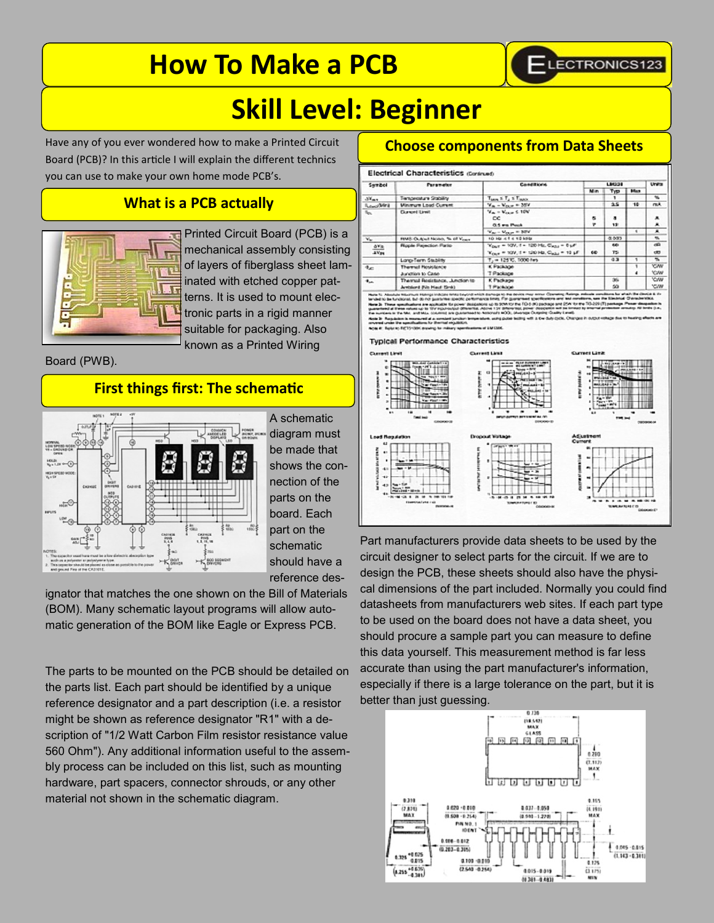# **How To Make a PCB**



×

æ

**CM** cw<br>cw **YC/M** 

# **Skill Level: Beginner**

Have any of you ever wondered how to make a Printed Circuit Board (PCB)? In this article I will explain the different technics you can use to make your own home mode PCB's.

# **What is a PCB actually**



Printed Circuit Board (PCB) is a mechanical assembly consisting of layers of fiberglass sheet laminated with etched copper patterns. It is used to mount electronic parts in a rigid manner suitable for packaging. Also known as a Printed Wiring

Board (PWB).

# **First things first: The schematic**



A schematic diagram must be made that shows the connection of the parts on the board. Each part on the schematic should have a reference des-

ignator that matches the one shown on the Bill of Materials (BOM). Many schematic layout programs will allow automatic generation of the BOM like Eagle or Express PCB.

The parts to be mounted on the PCB should be detailed on the parts list. Each part should be identified by a unique reference designator and a part description (i.e. a resistor might be shown as reference designator "R1" with a description of "1/2 Watt Carbon Film resistor resistance value 560 Ohm"). Any additional information useful to the assembly process can be included on this list, such as mounting hardware, part spacers, connector shrouds, or any other material not shown in the schematic diagram.

# **Choose components from Data Sheets**

Electrical Characteristics (Contract) Typ  $N$ K.  $m \times T_1 \times T_2$  $7.6 - 1$ **Minimum Load Curv**<br>Curvent Limit  $\frac{1}{2}$  $\frac{1}{12}$  $\overline{\phantom{a}}$  $0.5 \text{ rad}$ V<sub>ar</sub> – V<sub>olu</sub>e = 30V<br>10 Hz c 1 c 10 kHz  $400$ **RMS Culput Noise, % of Y**  $\begin{aligned} \mathbf{V}_{\text{DMT}} &= 209, \, \text{f} + 120 \, \text{Me}, \, \mathbf{C}_{\text{AMM}} = 0 \, \text{pF} \\ \mathbf{V}_{\text{OMT}} &= 209, \, \text{f} + 120 \, \text{Me}, \, \mathbf{C}_{\text{AMM}} = 12 \, \text{pF} \end{aligned}$  $\frac{\Delta V_{\rm R}}{\Delta V_{\rm Pl}}$ 75 co Long-Term Stubility T<sub>2</sub> = 125 C, 1000 fm K Packa rt File Haut Sink) T Package

#### **Typical Performance Characteristics**



Part manufacturers provide data sheets to be used by the circuit designer to select parts for the circuit. If we are to design the PCB, these sheets should also have the physical dimensions of the part included. Normally you could find datasheets from manufacturers web sites. If each part type to be used on the board does not have a data sheet, you should procure a sample part you can measure to define this data yourself. This measurement method is far less accurate than using the part manufacturer's information, especially if there is a large tolerance on the part, but it is better than just guessing.

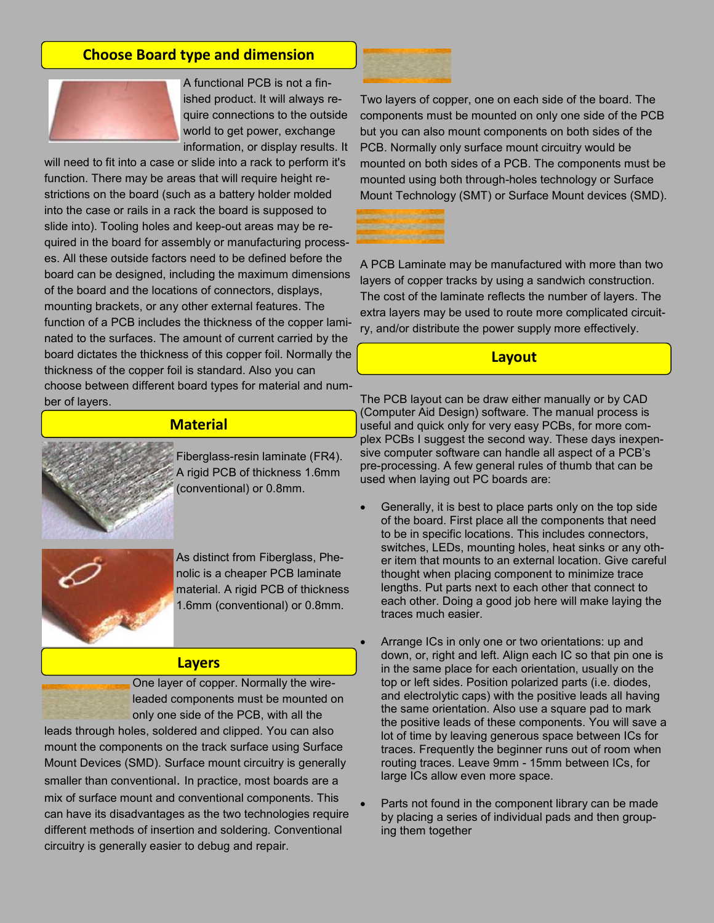# **Choose Board type and dimension**



A functional PCB is not a finished product. It will always require connections to the outside world to get power, exchange information, or display results. It

will need to fit into a case or slide into a rack to perform it's function. There may be areas that will require height restrictions on the board (such as a battery holder molded into the case or rails in a rack the board is supposed to slide into). Tooling holes and keep-out areas may be required in the board for assembly or manufacturing processes. All these outside factors need to be defined before the board can be designed, including the maximum dimensions of the board and the locations of connectors, displays, mounting brackets, or any other external features. The function of a PCB includes the thickness of the copper laminated to the surfaces. The amount of current carried by the board dictates the thickness of this copper foil. Normally the thickness of the copper foil is standard. Also you can choose between different board types for material and number of layers.

## **Material**



Fiberglass-resin laminate (FR4). A rigid PCB of thickness 1.6mm (conventional) or 0.8mm.



As distinct from Fiberglass, Phenolic is a cheaper PCB laminate material. A rigid PCB of thickness 1.6mm (conventional) or 0.8mm.

#### **Layers**

One layer of copper. Normally the wireleaded components must be mounted on only one side of the PCB, with all the leads through holes, soldered and clipped. You can also mount the components on the track surface using Surface

Mount Devices (SMD). Surface mount circuitry is generally smaller than conventional. In practice, most boards are a mix of surface mount and conventional components. This can have its disadvantages as the two technologies require different methods of insertion and soldering. Conventional circuitry is generally easier to debug and repair.



Two layers of copper, one on each side of the board. The components must be mounted on only one side of the PCB but you can also mount components on both sides of the PCB. Normally only surface mount circuitry would be mounted on both sides of a PCB. The components must be mounted using both through-holes technology or Surface Mount Technology (SMT) or Surface Mount devices (SMD).



A PCB Laminate may be manufactured with more than two layers of copper tracks by using a sandwich construction. The cost of the laminate reflects the number of layers. The extra layers may be used to route more complicated circuitry, and/or distribute the power supply more effectively.

#### **Layout**

The PCB layout can be draw either manually or by CAD (Computer Aid Design) software. The manual process is useful and quick only for very easy PCBs, for more complex PCBs I suggest the second way. These days inexpensive computer software can handle all aspect of a PCB's pre-processing. A few general rules of thumb that can be used when laying out PC boards are:

- Generally, it is best to place parts only on the top side of the board. First place all the components that need to be in specific locations. This includes connectors, switches, LEDs, mounting holes, heat sinks or any other item that mounts to an external location. Give careful thought when placing component to minimize trace lengths. Put parts next to each other that connect to each other. Doing a good job here will make laying the traces much easier.
- Arrange ICs in only one or two orientations: up and down, or, right and left. Align each IC so that pin one is in the same place for each orientation, usually on the top or left sides. Position polarized parts (i.e. diodes, and electrolytic caps) with the positive leads all having the same orientation. Also use a square pad to mark the positive leads of these components. You will save a lot of time by leaving generous space between ICs for traces. Frequently the beginner runs out of room when routing traces. Leave 9mm - 15mm between ICs, for large ICs allow even more space.
- Parts not found in the component library can be made by placing a series of individual pads and then grouping them together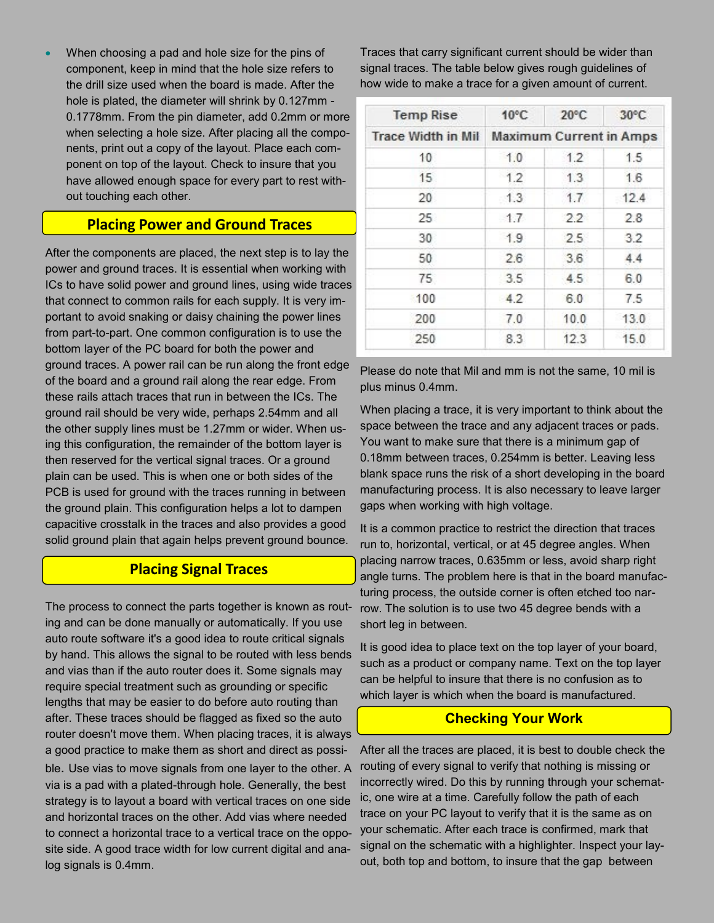When choosing a pad and hole size for the pins of component, keep in mind that the hole size refers to the drill size used when the board is made. After the hole is plated, the diameter will shrink by 0.127mm - 0.1778mm. From the pin diameter, add 0.2mm or more when selecting a hole size. After placing all the components, print out a copy of the layout. Place each component on top of the layout. Check to insure that you have allowed enough space for every part to rest without touching each other.

# **Placing Power and Ground Traces**

After the components are placed, the next step is to lay the power and ground traces. It is essential when working with ICs to have solid power and ground lines, using wide traces that connect to common rails for each supply. It is very important to avoid snaking or daisy chaining the power lines from part-to-part. One common configuration is to use the bottom layer of the PC board for both the power and ground traces. A power rail can be run along the front edge of the board and a ground rail along the rear edge. From these rails attach traces that run in between the ICs. The ground rail should be very wide, perhaps 2.54mm and all the other supply lines must be 1.27mm or wider. When using this configuration, the remainder of the bottom layer is then reserved for the vertical signal traces. Or a ground plain can be used. This is when one or both sides of the PCB is used for ground with the traces running in between the ground plain. This configuration helps a lot to dampen capacitive crosstalk in the traces and also provides a good solid ground plain that again helps prevent ground bounce.

# **Placing Signal Traces**

The process to connect the parts together is known as routing and can be done manually or automatically. If you use auto route software it's a good idea to route critical signals by hand. This allows the signal to be routed with less bends and vias than if the auto router does it. Some signals may require special treatment such as grounding or specific lengths that may be easier to do before auto routing than after. These traces should be flagged as fixed so the auto router doesn't move them. When placing traces, it is always a good practice to make them as short and direct as possible. Use vias to move signals from one layer to the other. A via is a pad with a plated-through hole. Generally, the best strategy is to layout a board with vertical traces on one side and horizontal traces on the other. Add vias where needed to connect a horizontal trace to a vertical trace on the opposite side. A good trace width for low current digital and analog signals is 0.4mm.

Traces that carry significant current should be wider than signal traces. The table below gives rough guidelines of how wide to make a trace for a given amount of current.

| <b>Temp Rise</b>          | $10^{\circ}$ C                 | $20^{\circ}$ C | $30^{\circ}$ C |
|---------------------------|--------------------------------|----------------|----------------|
| <b>Trace Width in Mil</b> | <b>Maximum Current in Amps</b> |                |                |
| 10                        | 1.0                            | 1.2            | 1.5            |
| 15                        | 1.2                            | 1.3            | 1.6            |
| 20                        | 1.3                            | 1.7            | 12.4           |
| $25^{\circ}$              | 1.7                            | 2.2            | 2.8            |
| 30                        | 1.9                            | 2.5            | 3.2            |
| 50                        | 2.6                            | 3.6            | 4.4            |
| 75                        | 3.5                            | 4.5            | 6.0            |
| 100                       | 4.2                            | 6.0            | 7.5            |
| 200                       | 7.0                            | 10.0           | 13.0           |
| 250                       | 8.3                            | 12.3           | 15.0           |

Please do note that Mil and mm is not the same, 10 mil is plus minus 0.4mm.

When placing a trace, it is very important to think about the space between the trace and any adjacent traces or pads. You want to make sure that there is a minimum gap of 0.18mm between traces, 0.254mm is better. Leaving less blank space runs the risk of a short developing in the board manufacturing process. It is also necessary to leave larger gaps when working with high voltage.

It is a common practice to restrict the direction that traces run to, horizontal, vertical, or at 45 degree angles. When placing narrow traces, 0.635mm or less, avoid sharp right angle turns. The problem here is that in the board manufacturing process, the outside corner is often etched too narrow. The solution is to use two 45 degree bends with a short leg in between.

It is good idea to place text on the top layer of your board, such as a product or company name. Text on the top layer can be helpful to insure that there is no confusion as to which layer is which when the board is manufactured.

#### **Checking Your Work**

After all the traces are placed, it is best to double check the routing of every signal to verify that nothing is missing or incorrectly wired. Do this by running through your schematic, one wire at a time. Carefully follow the path of each trace on your PC layout to verify that it is the same as on your schematic. After each trace is confirmed, mark that signal on the schematic with a highlighter. Inspect your layout, both top and bottom, to insure that the gap between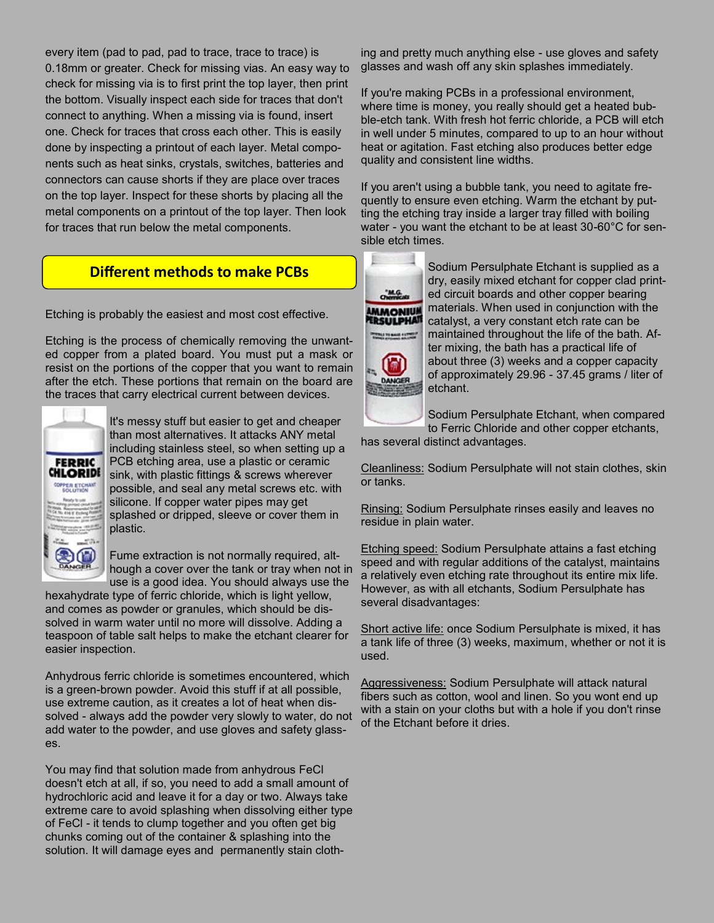every item (pad to pad, pad to trace, trace to trace) is 0.18mm or greater. Check for missing vias. An easy way to check for missing via is to first print the top layer, then print the bottom. Visually inspect each side for traces that don't connect to anything. When a missing via is found, insert one. Check for traces that cross each other. This is easily done by inspecting a printout of each layer. Metal components such as heat sinks, crystals, switches, batteries and connectors can cause shorts if they are place over traces on the top layer. Inspect for these shorts by placing all the metal components on a printout of the top layer. Then look for traces that run below the metal components.

# **Different methods to make PCBs**

Etching is probably the easiest and most cost effective.

Etching is the process of chemically removing the unwanted copper from a plated board. You must put a mask or resist on the portions of the copper that you want to remain after the etch. These portions that remain on the board are the traces that carry electrical current between devices.



It's messy stuff but easier to get and cheaper than most alternatives. It attacks ANY metal including stainless steel, so when setting up a PCB etching area, use a plastic or ceramic sink, with plastic fittings & screws wherever possible, and seal any metal screws etc. with silicone. If copper water pipes may get splashed or dripped, sleeve or cover them in plastic.

Fume extraction is not normally required, although a cover over the tank or tray when not in use is a good idea. You should always use the

hexahydrate type of ferric chloride, which is light yellow, and comes as powder or granules, which should be dissolved in warm water until no more will dissolve. Adding a teaspoon of table salt helps to make the etchant clearer for easier inspection.

Anhydrous ferric chloride is sometimes encountered, which is a green-brown powder. Avoid this stuff if at all possible, use extreme caution, as it creates a lot of heat when dissolved - always add the powder very slowly to water, do not add water to the powder, and use gloves and safety glasses.

You may find that solution made from anhydrous FeCl doesn't etch at all, if so, you need to add a small amount of hydrochloric acid and leave it for a day or two. Always take extreme care to avoid splashing when dissolving either type of FeCl - it tends to clump together and you often get big chunks coming out of the container & splashing into the solution. It will damage eyes and permanently stain cloth-

ing and pretty much anything else - use gloves and safety glasses and wash off any skin splashes immediately.

If you're making PCBs in a professional environment, where time is money, you really should get a heated bubble-etch tank. With fresh hot ferric chloride, a PCB will etch in well under 5 minutes, compared to up to an hour without heat or agitation. Fast etching also produces better edge quality and consistent line widths.

If you aren't using a bubble tank, you need to agitate frequently to ensure even etching. Warm the etchant by putting the etching tray inside a larger tray filled with boiling water - you want the etchant to be at least 30-60°C for sensible etch times.



Primary to ance current

Sodium Persulphate Etchant is supplied as a dry, easily mixed etchant for copper clad printed circuit boards and other copper bearing materials. When used in conjunction with the catalyst, a very constant etch rate can be maintained throughout the life of the bath. After mixing, the bath has a practical life of

about three (3) weeks and a copper capacity of approximately 29.96 - 37.45 grams / liter of etchant.

Sodium Persulphate Etchant, when compared to Ferric Chloride and other copper etchants,

has several distinct advantages.

Cleanliness: Sodium Persulphate will not stain clothes, skin or tanks.

Rinsing: Sodium Persulphate rinses easily and leaves no residue in plain water.

Etching speed: Sodium Persulphate attains a fast etching speed and with regular additions of the catalyst, maintains a relatively even etching rate throughout its entire mix life. However, as with all etchants, Sodium Persulphate has several disadvantages:

Short active life: once Sodium Persulphate is mixed, it has a tank life of three (3) weeks, maximum, whether or not it is used.

Aggressiveness: Sodium Persulphate will attack natural fibers such as cotton, wool and linen. So you wont end up with a stain on your cloths but with a hole if you don't rinse of the Etchant before it dries.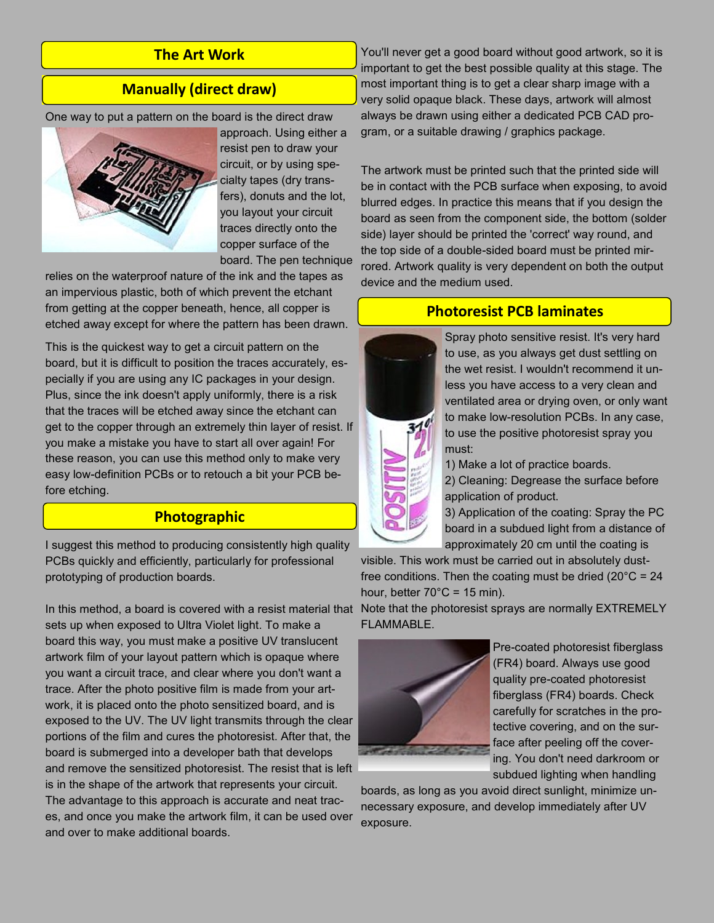# **The Art Work**

## **Manually (direct draw)**

One way to put a pattern on the board is the direct draw



approach. Using either a resist pen to draw your circuit, or by using specialty tapes (dry transfers), donuts and the lot, you layout your circuit traces directly onto the copper surface of the board. The pen technique

relies on the waterproof nature of the ink and the tapes as an impervious plastic, both of which prevent the etchant from getting at the copper beneath, hence, all copper is etched away except for where the pattern has been drawn.

This is the quickest way to get a circuit pattern on the board, but it is difficult to position the traces accurately, especially if you are using any IC packages in your design. Plus, since the ink doesn't apply uniformly, there is a risk that the traces will be etched away since the etchant can get to the copper through an extremely thin layer of resist. If you make a mistake you have to start all over again! For these reason, you can use this method only to make very easy low-definition PCBs or to retouch a bit your PCB before etching.

# **Photographic**

I suggest this method to producing consistently high quality PCBs quickly and efficiently, particularly for professional prototyping of production boards.

In this method, a board is covered with a resist material that Note that the photoresist sprays are normally EXTREMELY sets up when exposed to Ultra Violet light. To make a board this way, you must make a positive UV translucent artwork film of your layout pattern which is opaque where you want a circuit trace, and clear where you don't want a trace. After the photo positive film is made from your artwork, it is placed onto the photo sensitized board, and is exposed to the UV. The UV light transmits through the clear portions of the film and cures the photoresist. After that, the board is submerged into a developer bath that develops and remove the sensitized photoresist. The resist that is left is in the shape of the artwork that represents your circuit. The advantage to this approach is accurate and neat traces, and once you make the artwork film, it can be used over and over to make additional boards.

You'll never get a good board without good artwork, so it is important to get the best possible quality at this stage. The most important thing is to get a clear sharp image with a very solid opaque black. These days, artwork will almost always be drawn using either a dedicated PCB CAD program, or a suitable drawing / graphics package.

The artwork must be printed such that the printed side will be in contact with the PCB surface when exposing, to avoid blurred edges. In practice this means that if you design the board as seen from the component side, the bottom (solder side) layer should be printed the 'correct' way round, and the top side of a double-sided board must be printed mirrored. Artwork quality is very dependent on both the output device and the medium used.

### **Photoresist PCB laminates**



Spray photo sensitive resist. It's very hard to use, as you always get dust settling on the wet resist. I wouldn't recommend it unless you have access to a very clean and ventilated area or drying oven, or only want to make low-resolution PCBs. In any case, to use the positive photoresist spray you must:

1) Make a lot of practice boards.

2) Cleaning: Degrease the surface before application of product.

3) Application of the coating: Spray the PC board in a subdued light from a distance of approximately 20 cm until the coating is

visible. This work must be carried out in absolutely dustfree conditions. Then the coating must be dried  $(20^{\circ}C = 24)$ hour, better  $70^{\circ}$ C = 15 min).

FLAMMABLE.



Pre-coated photoresist fiberglass (FR4) board. Always use good quality pre-coated photoresist fiberglass (FR4) boards. Check carefully for scratches in the protective covering, and on the surface after peeling off the covering. You don't need darkroom or subdued lighting when handling

boards, as long as you avoid direct sunlight, minimize unnecessary exposure, and develop immediately after UV exposure.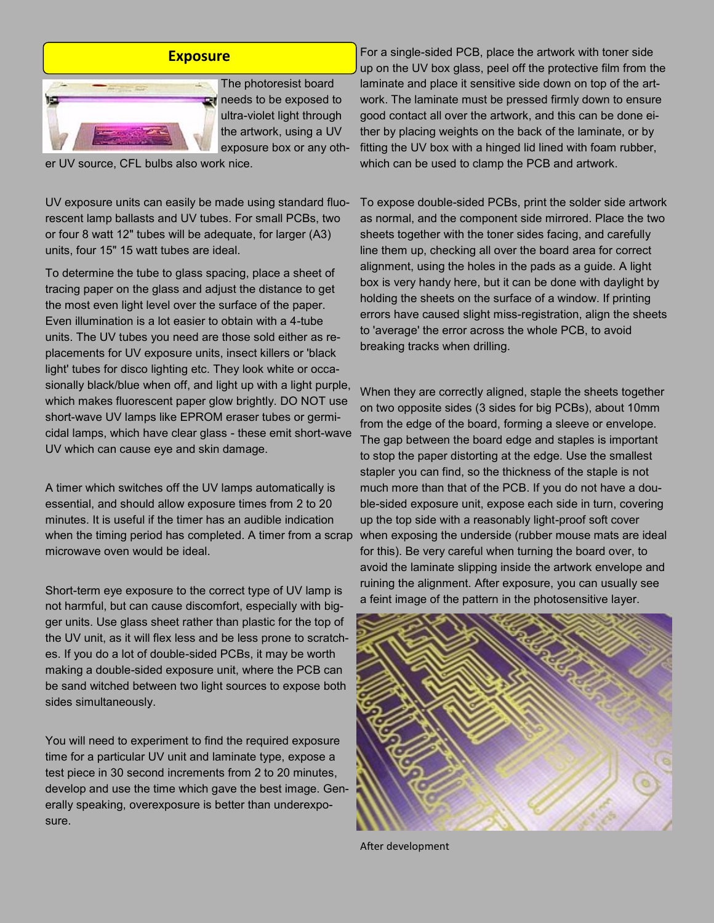

The photoresist board **R** needs to be exposed to ultra-violet light through the artwork, using a UV exposure box or any oth-

er UV source, CFL bulbs also work nice.

UV exposure units can easily be made using standard fluorescent lamp ballasts and UV tubes. For small PCBs, two or four 8 watt 12" tubes will be adequate, for larger (A3) units, four 15" 15 watt tubes are ideal.

To determine the tube to glass spacing, place a sheet of tracing paper on the glass and adjust the distance to get the most even light level over the surface of the paper. Even illumination is a lot easier to obtain with a 4-tube units. The UV tubes you need are those sold either as replacements for UV exposure units, insect killers or 'black light' tubes for disco lighting etc. They look white or occasionally black/blue when off, and light up with a light purple, which makes fluorescent paper glow brightly. DO NOT use short-wave UV lamps like EPROM eraser tubes or germicidal lamps, which have clear glass - these emit short-wave UV which can cause eye and skin damage.

A timer which switches off the UV lamps automatically is essential, and should allow exposure times from 2 to 20 minutes. It is useful if the timer has an audible indication when the timing period has completed. A timer from a scrap microwave oven would be ideal.

Short-term eye exposure to the correct type of UV lamp is not harmful, but can cause discomfort, especially with bigger units. Use glass sheet rather than plastic for the top of the UV unit, as it will flex less and be less prone to scratches. If you do a lot of double-sided PCBs, it may be worth making a double-sided exposure unit, where the PCB can be sand witched between two light sources to expose both sides simultaneously.

You will need to experiment to find the required exposure time for a particular UV unit and laminate type, expose a test piece in 30 second increments from 2 to 20 minutes, develop and use the time which gave the best image. Generally speaking, overexposure is better than underexposure.

**Exposure** For a single-sided PCB, place the artwork with toner side up on the UV box glass, peel off the protective film from the laminate and place it sensitive side down on top of the artwork. The laminate must be pressed firmly down to ensure good contact all over the artwork, and this can be done either by placing weights on the back of the laminate, or by fitting the UV box with a hinged lid lined with foam rubber, which can be used to clamp the PCB and artwork.

> To expose double-sided PCBs, print the solder side artwork as normal, and the component side mirrored. Place the two sheets together with the toner sides facing, and carefully line them up, checking all over the board area for correct alignment, using the holes in the pads as a guide. A light box is very handy here, but it can be done with daylight by holding the sheets on the surface of a window. If printing errors have caused slight miss-registration, align the sheets to 'average' the error across the whole PCB, to avoid breaking tracks when drilling.

> When they are correctly aligned, staple the sheets together on two opposite sides (3 sides for big PCBs), about 10mm from the edge of the board, forming a sleeve or envelope. The gap between the board edge and staples is important to stop the paper distorting at the edge. Use the smallest stapler you can find, so the thickness of the staple is not much more than that of the PCB. If you do not have a double-sided exposure unit, expose each side in turn, covering up the top side with a reasonably light-proof soft cover when exposing the underside (rubber mouse mats are ideal for this). Be very careful when turning the board over, to avoid the laminate slipping inside the artwork envelope and ruining the alignment. After exposure, you can usually see a feint image of the pattern in the photosensitive layer.



After development